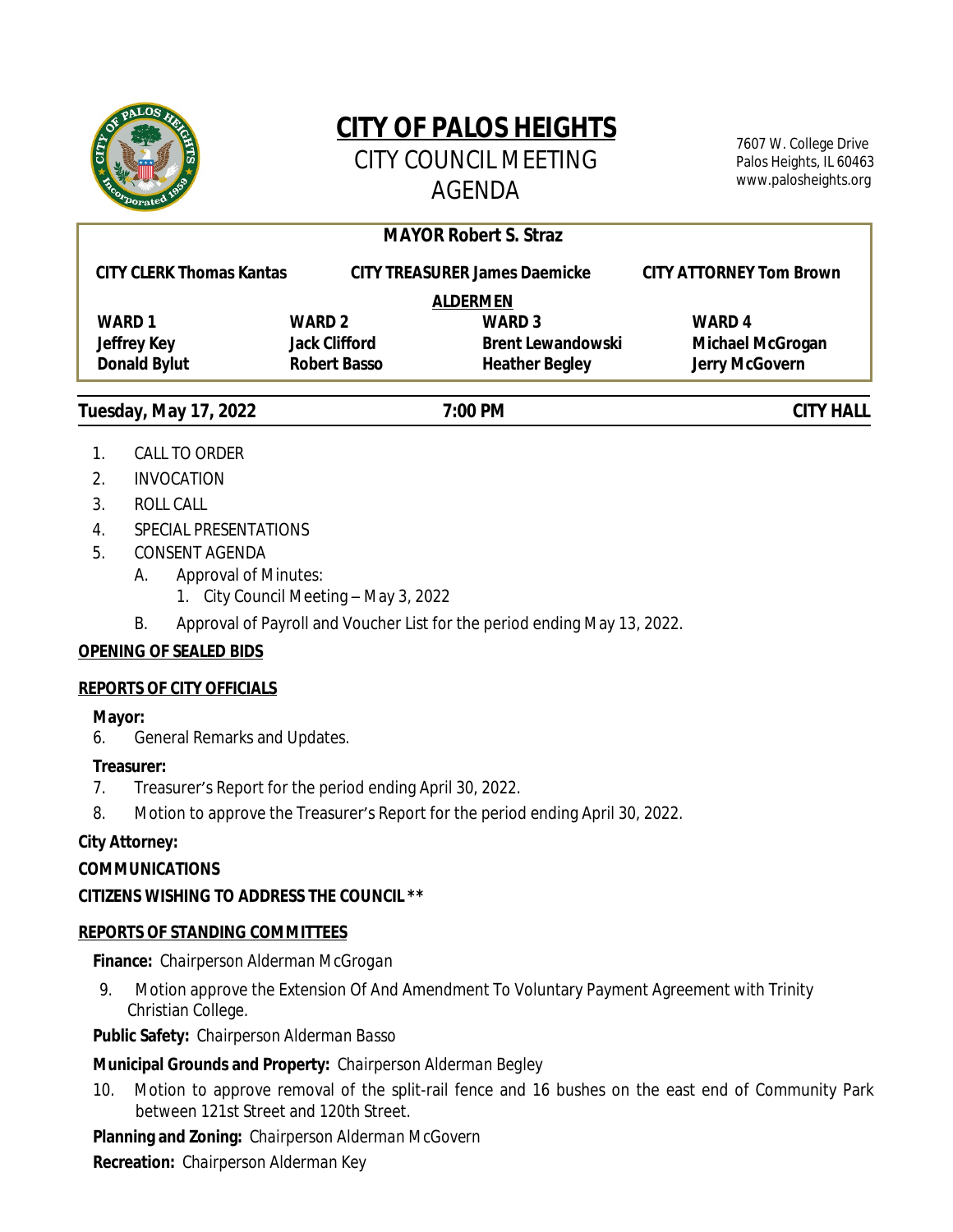

# **CITY OF PALOS HEIGHTS**

CITY COUNCIL MEETING AGENDA

7607 W. College Drive Palos Heights, IL 60463 www.palosheights.org

# **Tuesday, May 17, 2022 7:00 PM CITY HALL MAYOR Robert S. Straz CITY CLERK Thomas Kantas CITY TREASURER James Daemicke CITY ATTORNEY Tom Brown ALDERMEN WARD 1 WARD 2 WARD 3 WARD 4 Jeffrey Key Jack Clifford Brent Lewandowski Michael McGrogan Donald Bylut Robert Basso Heather Begley Jerry McGovern**

- 1. CALL TO ORDER
- 2. INVOCATION
- 3. ROLL CALL
- 4. SPECIAL PRESENTATIONS
- 5. CONSENT AGENDA
	- A. Approval of Minutes:
		- 1. City Council Meeting May 3, 2022
	- B. Approval of Payroll and Voucher List for the period ending May 13, 2022.

# **OPENING OF SEALED BIDS**

# **REPORTS OF CITY OFFICIALS**

# **Mayor:**

6. General Remarks and Updates.

# **Treasurer:**

- 7. Treasurer's Report for the period ending April 30, 2022.
- 8. Motion to approve the Treasurer's Report for the period ending April 30, 2022.

# **City Attorney:**

# **COMMUNICATIONS**

# **CITIZENS WISHING TO ADDRESS THE COUNCIL \*\***

# **REPORTS OF STANDING COMMITTEES**

# **Finance:** *Chairperson Alderman McGrogan*

9. Motion approve the Extension Of And Amendment To Voluntary Payment Agreement with Trinity Christian College.

# **Public Safety:** *Chairperson Alderman Basso*

# **Municipal Grounds and Property:** *Chairperson Alderman Begley*

10. Motion to approve removal of the split-rail fence and 16 bushes on the east end of Community Park between 121st Street and 120th Street.

**Planning and Zoning:** *Chairperson Alderman McGovern*

**Recreation:** *Chairperson Alderman Key*